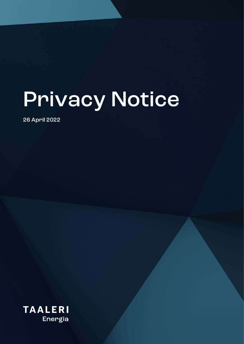# **Privacy Notice**

26 April 2022

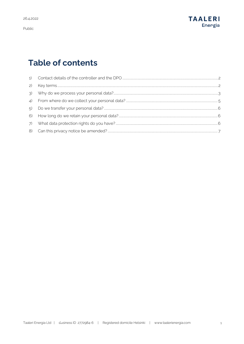

## **Table of contents**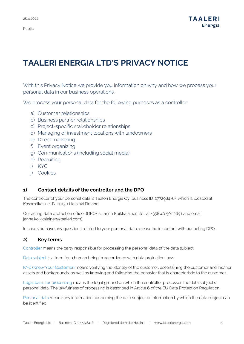# **TAALERI ENERGIA LTD'S PRIVACY NOTICE**

With this Privacy Notice we provide you information on why and how we process your personal data in our business operations.

We process your personal data for the following purposes as a controller:

- a) Customer relationships
- b) Business partner relationships
- c) Project-specific stakeholder relationships
- d) Managing of investment locations with landowners
- e) Direct marketing
- f) Event organizing
- g) Communications (including social media)
- h) Recruiting
- i) KYC
- j) Cookies

## <span id="page-2-0"></span>**1) Contact details of the controller and the DPO**

The controller of your personal data is Taaleri Energia Oy (business ID: 2772984-6), which is located at Kasarmikatu 21 B, 00130 Helsinki Finland.

Our acting data protection officer (DPO) is Janne Koikkalainen (tel. at +358 40 501 2691 and email janne.koikkalainen@taaleri.com).

In case you have any questions related to your personal data, please be in contact with our acting DPO.

## <span id="page-2-1"></span>**2) Key terms**

Controller means the party responsible for processing the personal data of the data subject.

Data subject is a term for a human being in accordance with data protection laws.

KYC (Know Your Customer) means verifying the identity of the customer, ascertaining the customer and his/her assets and backgrounds, as well as knowing and following the behavior that is characteristic to the customer.

Legal basis for processing means the legal ground on which the controller processes the data subject's personal data. The lawfulness of processing is described in Article 6 of the EU Data Protection Regulation.

Personal data means any information concerning the data subject or information by which the data subject can be identified.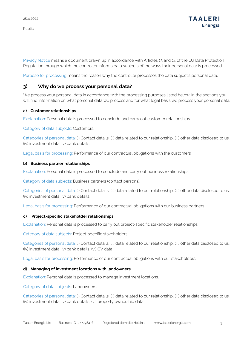

Privacy Notice means a document drawn up in accordance with Articles 13 and 14 of the EU Data Protection Regulation through which the controller informs data subjects of the ways their personal data is processed.

Purpose for processing means the reason why the controller processes the data subject's personal data.

## <span id="page-3-0"></span>**3) Why do we process your personal data?**

We process your personal data in accordance with the processing purposes listed below. In the sections you will find information on what personal data we process and for what legal basis we process your personal data.

## **a) Customer relationships**

Explanation: Personal data is processed to conclude and carry out customer relationships.

Category of data subjects: Customers.

Categories of personal data: (i) Contact details, (ii) data related to our relationship, (iii) other data disclosed to us, (iv) investment data, (v) bank details.

Legal basis for processing: Performance of our contractual obligations with the customers.

#### **b) Business partner relationships**

Explanation: Personal data is processed to conclude and carry out business relationships.

Category of data subjects: Business partners (contact persons).

Categories of personal data: (i) Contact details, (ii) data related to our relationship, (iii) other data disclosed to us, (iv) investment data, (v) bank details.

Legal basis for processing: Performance of our contractual obligations with our business partners.

### **c) Project-specific stakeholder relationships**

Explanation: Personal data is processed to carry out project-specific stakeholder relationships.

Category of data subjects: Project-specific stakeholders.

Categories of personal data: (i) Contact details, (ii) data related to our relationship, (iii) other data disclosed to us, (iv) investment data, (v) bank details, (vi) CV data.

Legal basis for processing: Performance of our contractual obligations with our stakeholders.

### **d) Managing of investment locations with landowners**

Explanation: Personal data is processed to manage investment locations.

Category of data subjects: Landowners.

Categories of personal data: (i) Contact details, (ii) data related to our relationship, (iii) other data disclosed to us, (iv) investment data, (v) bank details, (vi) property ownership data.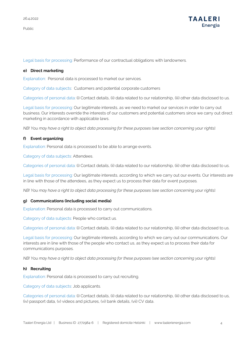

Legal basis for processing: Performance of our contractual obligations with landowners.

#### **e) Direct marketing**

Explanation: Personal data is processed to market our services.

Category of data subjects: Customers and potential corporate customers

Categories of personal data: (i) Contact details, (ii) data related to our relationship, (iii) other data disclosed to us.

Legal basis for processing: Our legitimate interests, as we need to market our services in order to carry out business. Our interests override the interests of our customers and potential customers since we carry out direct marketing in accordance with applicable laws.

*NB! You may have a right to object data processing for these purposes (see section concerning your rights).*

## **f) Event organizing**

Explanation: Personal data is processed to be able to arrange events.

Category of data subjects: Attendees.

Categories of personal data: (i) Contact details, (ii) data related to our relationship, (iii) other data disclosed to us.

Legal basis for processing: Our legitimate interests, according to which we carry out our events. Our interests are in line with those of the attendees, as they expect us to process their data for event purposes.

*NB! You may have a right to object data processing for these purposes (see section concerning your rights).* 

#### **g) Communications (including social media)**

Explanation: Personal data is processed to carry out communications.

Category of data subjects: People who contact us.

Categories of personal data: (i) Contact details, (ii) data related to our relationship, (iii) other data disclosed to us.

Legal basis for processing: Our legitimate interests, according to which we carry out our communications. Our interests are in line with those of the people who contact us, as they expect us to process their data for communications purposes.

*NB! You may have a right to object data processing for these purposes (see section concerning your rights).* 

### **h) Recruiting**

Explanation: Personal data is processed to carry out recruiting.

Category of data subjects: Job applicants.

Categories of personal data: (i) Contact details, (ii) data related to our relationship, (iii) other data disclosed to us, (iv) passport data, (v) videos and pictures, (vi) bank details, (vii) CV data.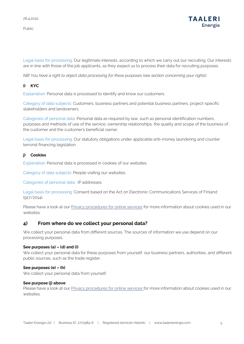

Legal basis for processing: Our legitimate interests, according to which we carry out our recruiting. Our interests are in line with those of the job applicants, as they expect us to process their data for recruiting purposes.

*NB! You have a right to object data processing for these purposes (see section concerning your rights).* 

## **i) KYC**

Explanation: Personal data is processed to identify and know our customers.

Category of data subjects: Customers, business partners and potential business partners, project-specific stakeholders and landowners.

Categories of personal data: Personal data as required by law, such as personal identification numbers, purposes and methods of use of the service, ownership relationships, the quality and scope of the business of the customer and the customer's beneficial owner.

Legal basis for processing: Our statutory obligations under applicable anti-money laundering and counter terrorist financing legislation.

## **j) Cookies**

Explanation: Personal data is processed in cookies of our websites.

Category of data subjects: People visiting our websites.

Categories of personal data: IP addresses.

Legal basis for processing: Consent based on the Act on Electronic Communications Services of Finland (917/2014).

Please have a look at our **Privacy procedures for online services** for more information about cookies used in our websites.

## <span id="page-5-0"></span>**4) From where do we collect your personal data?**

We collect your personal data from different sources. The sources of information we use depend on our processing purposes.

## **See purposes (a) – (d) and (i)**

We collect your personal data for these purposes from yourself, our business partners, authorities, and different public sources, such as the trade register.

### **See purposes (e) – (h)**

We collect your personal data from yourself.

### **See purpose (j) above**

Please have a look at our [Privacy procedures for online services](https://www.taaleri.com/en/privacy-procedures-for-online-services) for more information about cookies used in our websites.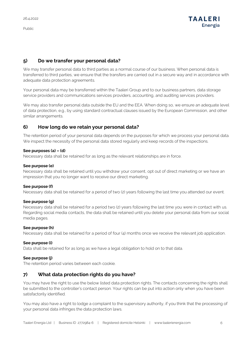Public

## <span id="page-6-0"></span>**5) Do we transfer your personal data?**

We may transfer personal data to third parties as a normal course of our business. When personal data is transferred to third parties, we ensure that the transfers are carried out in a secure way and in accordance with adequate data protection agreements.

Your personal data may be transferred within the Taaleri Group and to our business partners, data storage service providers and communications services providers, accounting, and auditing services providers.

We may also transfer personal data outside the EU and the EEA. When doing so, we ensure an adequate level of data protection, e.g., by using standard contractual clauses issued by the European Commission, and other similar arrangements.

## <span id="page-6-1"></span>**6) How long do we retain your personal data?**

The retention period of your personal data depends on the purposes for which we process your personal data. We inspect the necessity of the personal data stored regularly and keep records of the inspections.

## **See purposes (a) – (d)**

Necessary data shall be retained for as long as the relevant relationships are in force.

## **See purpose (e)**

Necessary data shall be retained until you withdraw your consent, opt out of direct marketing or we have an impression that you no longer want to receive our direct marketing.

## **See purpose (f)**

Necessary data shall be retained for a period of two (2) years following the last time you attended our event.

## **See purpose (g)**

Necessary data shall be retained for a period two (2) years following the last time you were in contact with us. Regarding social media contacts, the data shall be retained until you delete your personal data from our social media pages.

## **See purpose (h)**

Necessary data shall be retained for a period of four (4) months once we receive the relevant job application.

## **See purpose (i)**

Data shall be retained for as long as we have a legal obligation to hold on to that data.

## **See purpose (j)**

The retention period varies between each cookie.

## <span id="page-6-2"></span>**7) What data protection rights do you have?**

You may have the right to use the below listed data protection rights. The contacts concerning the rights shall be submitted to the controller's contact person. Your rights can be put into action only when you have been satisfactorily identified.

You may also have a right to lodge a complaint to the supervisory authority, if you think that the processing of your personal data infringes the data protection laws.